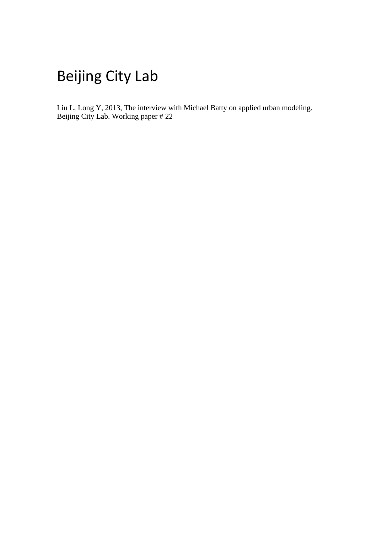# Beijing City Lab

Liu L, Long Y, 2013, The interview with Michael Batty on applied urban modeling. Beijing City Lab. Working paper # 22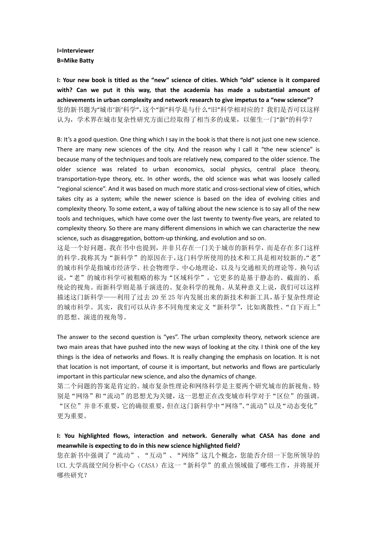## **I=Interviewer B=Mike Batty**

**I: Your new book is titled as the "new" science of cities. Which "old" science is it compared with? Can we put it this way, that the academia has made a substantial amount of achievements in urban complexity and network research to give impetus to a "new science"?** 您的新书题为"城市'新'科学",这个"新"科学是与什么"旧"科学相对应的?我们是否可以这样 认为,学术界在城市复杂性研究方面已经取得了相当多的成果,以催生一门"新"的科学?

B: It's a good question. One thing which I say in the book is that there is not just one new science. There are many new sciences of the city. And the reason why I call it "the new science" is because many of the techniques and tools are relatively new, compared to the older science. The older science was related to urban economics, social physics, central place theory, transportation-type theory, etc. In other words, the old science was what was loosely called "regional science". And it was based on much more static and cross-sectional view of cities, which takes city as a system; while the newer science is based on the idea of evolving cities and complexity theory. To some extent, a way of talking about the new science is to say all of the new tools and techniques, which have come over the last twenty to twenty-five years, are related to complexity theory. So there are many different dimensions in which we can characterize the new science, such as disaggregation, bottom-up thinking, and evolution and so on.

这是一个好问题。我在书中也提到,并非只存在一门关于城市的新科学,而是存在多门这样 的科学。我称其为"新科学"的原因在于,这门科学所使用的技术和工具是相对较新的。"老" 的城市科学是指城市经济学、社会物理学、中心地理论,以及与交通相关的理论等。换句话 说,"老"的城市科学可被粗略的称为"区域科学",它更多的是基于静态的、截面的、系 统论的视角。而新科学则是基于演进的、复杂科学的视角。从某种意义上说,我们可以这样 描述这门新科学——利用了过去 20 至 25 年内发展出来的新技术和新工具,基于复杂性理论 的城市科学。其实,我们可以从许多不同角度来定义"新科学",比如离散性、"自下而上" 的思想、演进的视角等。

The answer to the second question is "yes". The urban complexity theory, network science are two main areas that have pushed into the new ways of looking at the city. I think one of the key things is the idea of networks and flows. It is really changing the emphasis on location. It is not that location is not important, of course it is important, but networks and flows are particularly important in this particular new science, and also the dynamics of change.

第二个问题的答案是肯定的。城市复杂性理论和网络科学是主要两个研究城市的新视角。特 别是"网络"和"流动"的思想尤为关键,这一思想正在改变城市科学对于"区位"的强调。 "区位"并非不重要,它的确很重要,但在这门新科学中"网络"、"流动"以及"动态变化" 更为重要。

**I: You highlighted flows, interaction and network. Generally what CASA has done and meanwhile is expecting to do in this new science highlighted field?**

您在新书中强调了"流动"、"互动"、"网络"这几个概念,您能否介绍一下您所领导的 UCL 大学高级空间分析中心(CASA)在这一"新科学"的重点领域做了哪些工作,并将展开 哪些研究?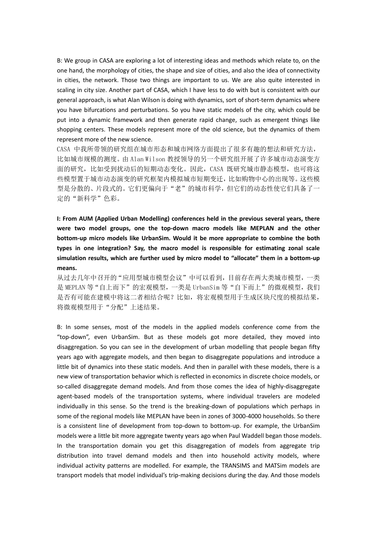B: We group in CASA are exploring a lot of interesting ideas and methods which relate to, on the one hand, the morphology of cities, the shape and size of cities, and also the idea of connectivity in cities, the network. Those two things are important to us. We are also quite interested in scaling in city size. Another part of CASA, which I have less to do with but is consistent with our general approach, is what Alan Wilson is doing with dynamics, sort of short-term dynamics where you have bifurcations and perturbations. So you have static models of the city, which could be put into a dynamic framework and then generate rapid change, such as emergent things like shopping centers. These models represent more of the old science, but the dynamics of them represent more of the new science.

CASA 中我所带领的研究组在城市形态和城市网络方面提出了很多有趣的想法和研究方法, 比如城市规模的测度。由 Alan Wilson 教授领导的另一个研究组开展了许多城市动态演变方 面的研究,比如受到扰动后的短期动态变化。因此,CASA 既研究城市静态模型,也可将这 些模型置于城市动态演变的研究框架内模拟城市短期变迁,比如购物中心的出现等。这些模 型是分散的、片段式的。它们更偏向于"老"的城市科学,但它们的动态性使它们具备了一 定的"新科学"色彩。

**I: From AUM (Applied Urban Modelling) conferences held in the previous several years, there were two model groups, one the top-down macro models like MEPLAN and the other bottom-up micro models like UrbanSim. Would it be more appropriate to combine the both types in one integration? Say, the macro model is responsible for estimating zonal scale simulation results, which are further used by micro model to "allocate" them in a bottom-up means.** 

从过去几年中召开的"应用型城市模型会议"中可以看到,目前存在两大类城市模型,一类 是 MEPLAN 等"自上而下"的宏观模型,一类是 UrbanSim 等"自下而上"的微观模型,我们 是否有可能在建模中将这二者相结合呢?比如,将宏观模型用于生成区块尺度的模拟结果, 将微观模型用于"分配"上述结果。

B: In some senses, most of the models in the applied models conference come from the "top-down", even UrbanSim. But as these models got more detailed, they moved into disaggregation. So you can see in the development of urban modelling that people began fifty years ago with aggregate models, and then began to disaggregate populations and introduce a little bit of dynamics into these static models. And then in parallel with these models, there is a new view of transportation behavior which is reflected in economics in discrete choice models, or so-called disaggregate demand models. And from those comes the idea of highly-disaggregate agent-based models of the transportation systems, where individual travelers are modeled individually in this sense. So the trend is the breaking-down of populations which perhaps in some of the regional models like MEPLAN have been in zones of 3000-4000 households. So there is a consistent line of development from top-down to bottom-up. For example, the UrbanSim models were a little bit more aggregate twenty years ago when Paul Waddell began those models. In the transportation domain you get this disaggregation of models from aggregate trip distribution into travel demand models and then into household activity models, where individual activity patterns are modelled. For example, the TRANSIMS and MATSim models are transport models that model individual's trip-making decisions during the day. And those models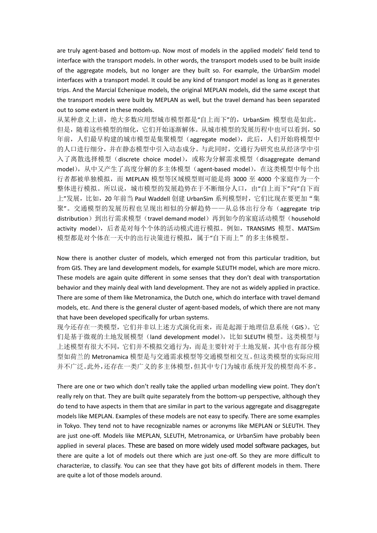are truly agent-based and bottom-up. Now most of models in the applied models' field tend to interface with the transport models. In other words, the transport models used to be built inside of the aggregate models, but no longer are they built so. For example, the UrbanSim model interfaces with a transport model. It could be any kind of transport model as long as it generates trips. And the Marcial Echenique models, the original MEPLAN models, did the same except that the transport models were built by MEPLAN as well, but the travel demand has been separated out to some extent in these models.

从某种意义上讲,绝大多数应用型城市模型都是"自上而下"的, UrbanSim 模型也是如此。 但是,随着这些模型的细化,它们开始逐渐解体。从城市模型的发展历程中也可以看到,50 年前,人们最早构建的城市模型是集聚模型(aggregate model),此后,人们开始将模型中 的人口进行细分,并在静态模型中引入动态成分。与此同时,交通行为研究也从经济学中引 入了离散选择模型(discrete choice model), 或称为分解需求模型(disaggregate demand model), 从中又产生了高度分解的多主体模型(agent-based model), 在这类模型中每个出 行者都被单独模拟,而 MEPLAN 模型等区域模型则可能是将 3000 至 4000 个家庭作为一个 整体进行模拟。所以说,城市模型的发展趋势在于不断细分人口,由"自上而下"向"自下而 上"发展, 比如, 20 年前当 Paul Waddell 创建 UrbanSim 系列模型时, 它们比现在要更加"集 聚"。交通模型的发展历程也呈现出相似的分解趋势——从总体出行分布(aggregate trip distribution)到出行需求模型(travel demand model)再到如今的家庭活动模型(household activity model),后者是对每个个体的活动模式进行模拟。例如,TRANSIMS 模型、MATSim 模型都是对个体在一天中的出行决策进行模拟,属于"自下而上"的多主体模型。

Now there is another cluster of models, which emerged not from this particular tradition, but from GIS. They are land development models, for example SLEUTH model, which are more micro. These models are again quite different in some senses that they don't deal with transportation behavior and they mainly deal with land development. They are not as widely applied in practice. There are some of them like Metronamica, the Dutch one, which do interface with travel demand models, etc. And there is the general cluster of agent-based models, of which there are not many that have been developed specifically for urban systems.

现今还存在一类模型,它们并非以上述方式演化而来,而是起源于地理信息系统(GIS)。它 们是基于微观的土地发展模型(land development model),比如 SLEUTH 模型。这类模型与 上述模型有很大不同,它们并不模拟交通行为,而是主要针对于土地发展,其中也有部分模 型如荷兰的 Metronamica 模型是与交通需求模型等交通模型相交互。但这类模型的实际应用 并不广泛。此外,还存在一类广义的多主体模型,但其中专门为城市系统开发的模型尚不多。

There are one or two which don't really take the applied urban modelling view point. They don't really rely on that. They are built quite separately from the bottom-up perspective, although they do tend to have aspects in them that are similar in part to the various aggregate and disaggregate models like MEPLAN. Examples of these models are not easy to specify. There are some examples in Tokyo. They tend not to have recognizable names or acronyms like MEPLAN or SLEUTH. They are just one-off. Models like MEPLAN, SLEUTH, Metronamica, or UrbanSim have probably been applied in several places. These are based on more widely used model software packages, but there are quite a lot of models out there which are just one-off. So they are more difficult to characterize, to classify. You can see that they have got bits of different models in them. There are quite a lot of those models around.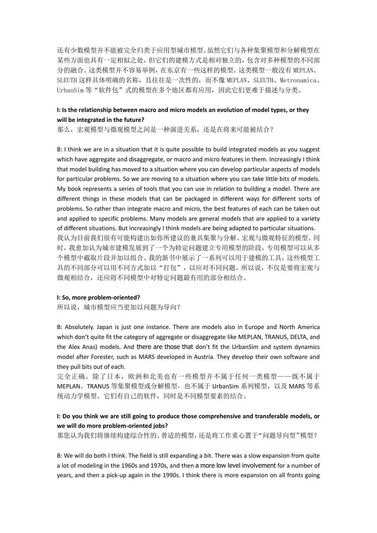还有少数模型并不能被完全归类于应用型城市模型。虽然它们与各种集聚模型和分解模型在 某些方面也具有一定相似之处,但它们的建模方式是相对独立的,包含对多种模型的不同部 分的融合。这类模型并不容易举例,在东京有一些这样的模型。这类模型一般没有 MEPLAN、 SLEUTH 这样具体明确的名称,且往往是一次性的,而不像 MEPLAN、SLEUTH、Metronamica、 UrbanSim 等"软件包"式的模型在多个地区都有应用,因此它们更难于描述与分类。

## **I: Is the relationship between macro and micro models an evolution of model types, or they will be integrated in the future?**

那么,宏观模型与微观模型之间是一种演进关系,还是在将来可能被结合?

B: I think we are in a situation that it is quite possible to build integrated models as you suggest which have aggregate and disaggregate, or macro and micro features in them. Increasingly I think that model building has moved to a situation where you can develop particular aspects of models for particular problems. So we are moving to a situation where you can take little bits of models. My book represents a series of tools that you can use in relation to building a model. There are different things in these models that can be packaged in different ways for different sorts of problems. So rather than integrate macro and micro, the best features of each can be taken out and applied to specific problems. Many models are general models that are applied to a variety of different situations. But increasingly I think models are being adapted to particular situations. 我认为目前我们很有可能构建出如你所建议的兼具集聚与分解、宏观与微观特征的模型。同 时,我愈加认为城市建模发展到了一个为特定问题建立专用模型的阶段,专用模型可以从多 个模型中截取片段并加以组合。我的新书中展示了一系列可以用于建模的工具,这些模型工 具的不同部分可以用不同方式加以"打包",以应对不同问题。所以说,不仅是要将宏观与 微观相结合,还应将不同模型中对特定问题最有用的部分相结合。

## **I: So, more problem-oriented?**

所以说,城市模型应当更加以问题为导向?

B: Absolutely. Japan is just one instance. There are models also in Europe and North America which don't quite fit the category of aggregate or disaggregate like MEPLAN, TRANUS, DELTA, and the Alex Anas) models. And there are those that don't fit the UrbanSim and system dynamics model after Forester, such as MARS developed in Austria. They develop their own software and they pull bits out of each.

完全正确。除了日本,欧洲和北美也有一些模型并不属于任何一类模型——既不属于 MEPLAN、TRANUS 等集聚模型或分解模型,也不属于 UrbanSim 系列模型,以及 MARS 等系 统动力学模型。它们有自己的软件,同时是不同模型要素的结合。

## **I: Do you think we are still going to produce those comprehensive and transferable models, or we will do more problem-oriented jobs?**

那您认为我们将继续构建综合性的、普适的模型,还是将工作重心置于"问题导向型"模型?

B: We will do both I think. The field is still expanding a bit. There was a slow expansion from quite a lot of modeling in the 1960s and 1970s, and then a more low level involvement for a number of years, and then a pick-up again in the 1990s. I think there is more expansion on all fronts going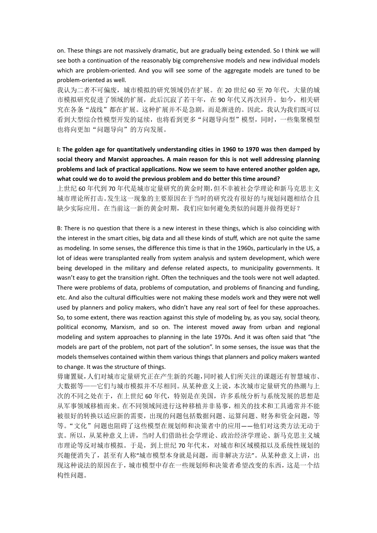on. These things are not massively dramatic, but are gradually being extended. So I think we will see both a continuation of the reasonably big comprehensive models and new individual models which are problem-oriented. And you will see some of the aggregate models are tuned to be problem-oriented as well.

我认为二者不可偏废,城市模拟的研究领域仍在扩展。在 20 世纪 60 至 70 年代,大量的城 市模拟研究促进了领域的扩展,此后沉寂了若干年,在 90 年代又再次回升。如今,相关研 究在各条"战线"都在扩展。这种扩展并不是急剧,而是渐进的。因此,我认为我们既可以 看到大型综合性模型开发的延续,也将看到更多"问题导向型"模型,同时,一些集聚模型 也将向更加"问题导向"的方向发展。

# **I: The golden age for quantitatively understanding cities in 1960 to 1970 was then damped by social theory and Marxist approaches. A main reason for this is not well addressing planning problems and lack of practical applications. Now we seem to have entered another golden age, what could we do to avoid the previous problem and do better this time around?**

上世纪 60 年代到 70 年代是城市定量研究的黄金时期,但不幸被社会学理论和新马克思主义 城市理论所打击。发生这一现象的主要原因在于当时的研究没有很好的与规划问题相结合且 缺少实际应用。在当前这一新的黄金时期,我们应如何避免类似的问题并做得更好?

B: There is no question that there is a new interest in these things, which is also coinciding with the interest in the smart cities, big data and all these kinds of stuff, which are not quite the same as modeling. In some senses, the difference this time is that in the 1960s, particularly in the US, a lot of ideas were transplanted really from system analysis and system development, which were being developed in the military and defense related aspects, to municipality governments. It wasn't easy to get the transition right. Often the techniques and the tools were not well adapted. There were problems of data, problems of computation, and problems of financing and funding, etc. And also the cultural difficulties were not making these models work and they were not well used by planners and policy makers, who didn't have any real sort of feel for these approaches. So, to some extent, there was reaction against this style of modeling by, as you say, social theory, political economy, Marxism, and so on. The interest moved away from urban and regional modeling and system approaches to planning in the late 1970s. And it was often said that "the models are part of the problem, not part of the solution". In some senses, the issue was that the models themselves contained within them various things that planners and policy makers wanted to change. It was the structure of things.

毋庸置疑,人们对城市定量研究正在产生新的兴趣,同时被人们所关注的课题还有智慧城市、 大数据等——它们与城市模拟并不尽相同。从某种意义上说,本次城市定量研究的热潮与上 次的不同之处在于,在上世纪 60 年代,特别是在美国,许多系统分析与系统发展的思想是 从军事领域移植而来。在不同领域间进行这种移植并非易事,相关的技术和工具通常并不能 被很好的转换以适应新的需要,出现的问题包括数据问题、运算问题、财务和资金问题,等 等。"文化"问题也阻碍了这些模型在规划师和决策者中的应用——他们对这类方法无动于 衷。所以,从某种意义上讲,当时人们借助社会学理论、政治经济学理论、新马克思主义城 市理论等反对城市模拟。于是,到上世纪 70 年代末,对城市和区域模拟以及系统性规划的 兴趣便消失了,甚至有人称"城市模型本身就是问题,而非解决方法"。从某种意义上讲,出 现这种说法的原因在于,城市模型中存在一些规划师和决策者希望改变的东西,这是一个结 构性问题。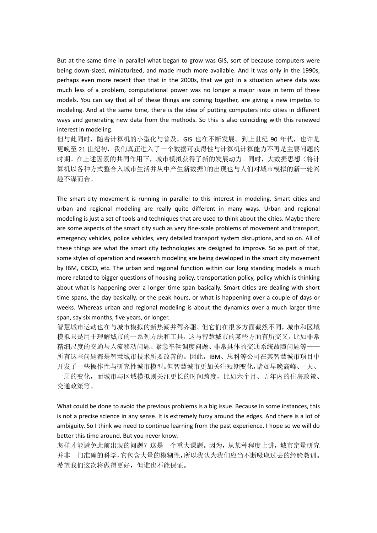But at the same time in parallel what began to grow was GIS, sort of because computers were being down-sized, miniaturized, and made much more available. And it was only in the 1990s, perhaps even more recent than that in the 2000s, that we got in a situation where data was much less of a problem, computational power was no longer a major issue in term of these models. You can say that all of these things are coming together, are giving a new impetus to modeling. And at the same time, there is the idea of putting computers into cities in different ways and generating new data from the methods. So this is also coinciding with this renewed interest in modeling.

但与此同时,随着计算机的小型化与普及, GIS 也在不断发展。到上世纪 90 年代, 也许是 更晚至21世纪初,我们真正进入了一个数据可获得性与计算机计算能力不再是主要问题的 时期。在上述因素的共同作用下,城市模拟获得了新的发展动力。同时,大数据思想(将计 算机以各种方式整合入城市生活并从中产生新数据)的出现也与人们对城市模拟的新一轮兴 趣不谋而合。

The smart-city movement is running in parallel to this interest in modeling. Smart cities and urban and regional modeling are really quite different in many ways. Urban and regional modeling is just a set of tools and techniques that are used to think about the cities. Maybe there are some aspects of the smart city such as very fine-scale problems of movement and transport, emergency vehicles, police vehicles, very detailed transport system disruptions, and so on. All of these things are what the smart city technologies are designed to improve. So as part of that, some styles of operation and research modeling are being developed in the smart city movement by IBM, CISCO, etc. The urban and regional function within our long standing models is much more related to bigger questions of housing policy, transportation policy, policy which is thinking about what is happening over a longer time span basically. Smart cities are dealing with short time spans, the day basically, or the peak hours, or what is happening over a couple of days or weeks. Whereas urban and regional modeling is about the dynamics over a much larger time span, say six months, five years, or longer.

智慧城市运动也在与城市模拟的新热潮并驾齐驱。但它们在很多方面截然不同,城市和区域 模拟只是用于理解城市的一系列方法和工具,这与智慧城市的某些方面有所交叉,比如非常 精细尺度的交通与人流移动问题、紧急车辆调度问题、非常具体的交通系统故障问题等-所有这些问题都是智慧城市技术所要改善的。因此,IBM、思科等公司在其智慧城市项目中 开发了一些操作性与研究性城市模型。但智慧城市更加关注短期变化,诸如早晚高峰、一天、 一周的变化,而城市与区域模拟则关注更长的时间跨度,比如六个月、五年内的住房政策、 交通政策等。

What could be done to avoid the previous problems is a big issue. Because in some instances, this is not a precise science in any sense. It is extremely fuzzy around the edges. And there is a lot of ambiguity. So I think we need to continue learning from the past experience. I hope so we will do better this time around. But you never know.

怎样才能避免此前出现的问题?这是一个重大课题。因为,从某种程度上讲,城市定量研究 并非一门准确的科学,它包含大量的模糊性,所以我认为我们应当不断吸取过去的经验教训。 希望我们这次将做得更好,但谁也不能保证。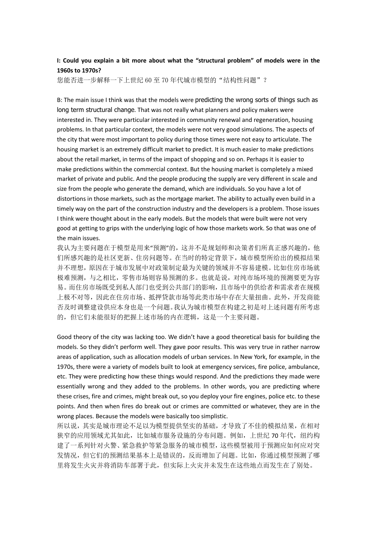## **I: Could you explain a bit more about what the "structural problem" of models were in the 1960s to 1970s?**

您能否进一步解释一下上世纪 60 至 70 年代城市模型的"结构性问题"?

B: The main issue I think was that the models were predicting the wrong sorts of things such as long term structural change. That was not really what planners and policy makers were interested in. They were particular interested in community renewal and regeneration, housing problems. In that particular context, the models were not very good simulations. The aspects of the city that were most important to policy during those times were not easy to articulate. The housing market is an extremely difficult market to predict. It is much easier to make predictions about the retail market, in terms of the impact of shopping and so on. Perhaps it is easier to make predictions within the commercial context. But the housing market is completely a mixed market of private and public. And the people producing the supply are very different in scale and size from the people who generate the demand, which are individuals. So you have a lot of distortions in those markets, such as the mortgage market. The ability to actually even build in a timely way on the part of the construction industry and the developers is a problem. Those issues I think were thought about in the early models. But the models that were built were not very good at getting to grips with the underlying logic of how those markets work. So that was one of the main issues.

我认为主要问题在于模型是用来"预测"的,这并不是规划师和决策者们所真正感兴趣的,他 们所感兴趣的是社区更新、住房问题等。在当时的特定背景下,城市模型所给出的模拟结果 并不理想,原因在于城市发展中对政策制定最为关键的领域并不容易建模。比如住房市场就 极难预测,与之相比,零售市场则容易预测的多。也就是说,对纯市场环境的预测要更为容 易。而住房市场既受到私人部门也受到公共部门的影响,且市场中的供给者和需求者在规模 上极不对等,因此在住房市场、抵押贷款市场等此类市场中存在大量扭曲。此外,开发商能 否及时调整建设供应本身也是一个问题。我认为城市模型在构建之初是对上述问题有所考虑 的,但它们未能很好的把握上述市场的内在逻辑,这是一个主要问题。

Good theory of the city was lacking too. We didn't have a good theoretical basis for building the models. So they didn't perform well. They gave poor results. This was very true in rather narrow areas of application, such as allocation models of urban services. In New York, for example, in the 1970s, there were a variety of models built to look at emergency services, fire police, ambulance, etc. They were predicting how these things would respond. And the predictions they made were essentially wrong and they added to the problems. In other words, you are predicting where these crises, fire and crimes, might break out, so you deploy your fire engines, police etc. to these points. And then when fires do break out or crimes are committed or whatever, they are in the wrong places. Because the models were basically too simplistic.

所以说,其实是城市理论不足以为模型提供坚实的基础,才导致了不佳的模拟结果,在相对 狭窄的应用领域尤其如此,比如城市服务设施的分布问题。例如,上世纪 70 年代,纽约构 建了一系列针对火警、紧急救护等紧急服务的城市模型,这些模型被用于预测应如何应对突 发情况,但它们的预测结果基本上是错误的,反而增加了问题。比如,你通过模型预测了哪 里将发生火灾并将消防车部署于此,但实际上火灾并未发生在这些地点而发生在了别处。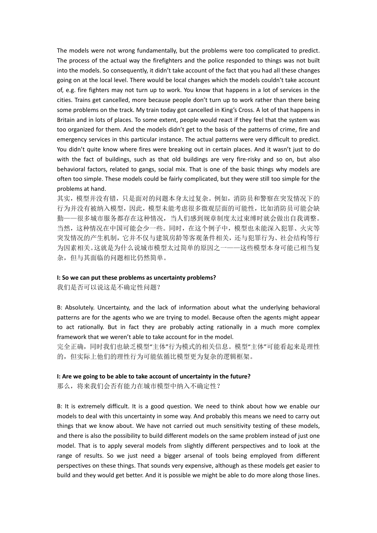The models were not wrong fundamentally, but the problems were too complicated to predict. The process of the actual way the firefighters and the police responded to things was not built into the models. So consequently, it didn't take account of the fact that you had all these changes going on at the local level. There would be local changes which the models couldn't take account of, e.g. fire fighters may not turn up to work. You know that happens in a lot of services in the cities. Trains get cancelled, more because people don't turn up to work rather than there being some problems on the track. My train today got cancelled in King's Cross. A lot of that happens in Britain and in lots of places. To some extent, people would react if they feel that the system was too organized for them. And the models didn't get to the basis of the patterns of crime, fire and emergency services in this particular instance. The actual patterns were very difficult to predict. You didn't quite know where fires were breaking out in certain places. And it wasn't just to do with the fact of buildings, such as that old buildings are very fire-risky and so on, but also behavioral factors, related to gangs, social mix. That is one of the basic things why models are often too simple. These models could be fairly complicated, but they were still too simple for the problems at hand.

其实,模型并没有错,只是面对的问题本身太过复杂。例如,消防员和警察在突发情况下的 行为并没有被纳入模型,因此,模型未能考虑很多微观层面的可能性,比如消防员可能会缺 勤——很多城市服务都存在这种情况,当人们感到规章制度太过束缚时就会做出自我调整。 当然,这种情况在中国可能会少一些。同时,在这个例子中,模型也未能深入犯罪、火灾等 突发情况的产生机制,它并不仅与建筑房龄等客观条件相关,还与犯罪行为、社会结构等行 为因素相关。这就是为什么说城市模型太过简单的原因之一——这些模型本身可能已相当复 杂,但与其面临的问题相比仍然简单。

#### **I: So we can put these problems as uncertainty problems?**

我们是否可以说这是不确定性问题?

B: Absolutely. Uncertainty, and the lack of information about what the underlying behavioral patterns are for the agents who we are trying to model. Because often the agents might appear to act rationally. But in fact they are probably acting rationally in a much more complex framework that we weren't able to take account for in the model.

完全正确,同时我们也缺乏模型"主体"行为模式的相关信息。模型"主体"可能看起来是理性 的,但实际上他们的理性行为可能依循比模型更为复杂的逻辑框架。

### **I: Are we going to be able to take account of uncertainty in the future?**

那么,将来我们会否有能力在城市模型中纳入不确定性?

B: It is extremely difficult. It is a good question. We need to think about how we enable our models to deal with this uncertainty in some way. And probably this means we need to carry out things that we know about. We have not carried out much sensitivity testing of these models, and there is also the possibility to build different models on the same problem instead of just one model. That is to apply several models from slightly different perspectives and to look at the range of results. So we just need a bigger arsenal of tools being employed from different perspectives on these things. That sounds very expensive, although as these models get easier to build and they would get better. And it is possible we might be able to do more along those lines.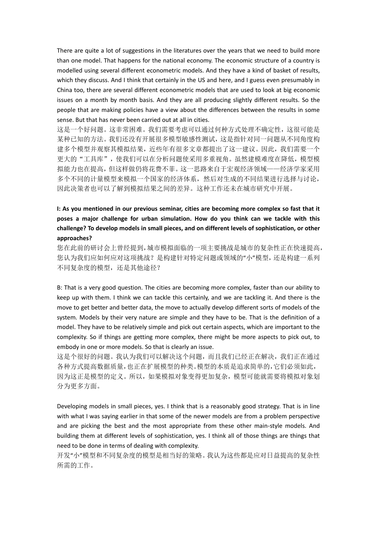There are quite a lot of suggestions in the literatures over the years that we need to build more than one model. That happens for the national economy. The economic structure of a country is modelled using several different econometric models. And they have a kind of basket of results, which they discuss. And I think that certainly in the US and here, and I guess even presumably in China too, there are several different econometric models that are used to look at big economic issues on a month by month basis. And they are all producing slightly different results. So the people that are making policies have a view about the differences between the results in some sense. But that has never been carried out at all in cities.

这是一个好问题。这非常困难。我们需要考虑可以通过何种方式处理不确定性,这很可能是 某种已知的方法。我们还没有开展很多模型敏感性测试,这是指针对同一问题从不同角度构 建多个模型并观察其模拟结果,近些年有很多文章都提出了这一建议。因此,我们需要一个 更大的"工具库",使我们可以在分析问题使采用多重视角。虽然建模难度在降低,模型模 拟能力也在提高,但这样做仍将花费不菲。这一思路来自于宏观经济领域——经济学家采用 多个不同的计量模型来模拟一个国家的经济体系,然后对生成的不同结果进行选择与讨论, 因此决策者也可以了解到模拟结果之间的差异。这种工作还未在城市研究中开展。

# **I: As you mentioned in our previous seminar, cities are becoming more complex so fast that it poses a major challenge for urban simulation. How do you think can we tackle with this challenge? To develop models in small pieces, and on different levels of sophistication, or other approaches?**

您在此前的研讨会上曾经提到,城市模拟面临的一项主要挑战是城市的复杂性正在快速提高, 您认为我们应如何应对这项挑战?是构建针对特定问题或领域的"小"模型,还是构建一系列 不同复杂度的模型,还是其他途径?

B: That is a very good question. The cities are becoming more complex, faster than our ability to keep up with them. I think we can tackle this certainly, and we are tackling it. And there is the move to get better and better data, the move to actually develop different sorts of models of the system. Models by their very nature are simple and they have to be. That is the definition of a model. They have to be relatively simple and pick out certain aspects, which are important to the complexity. So if things are getting more complex, there might be more aspects to pick out, to embody in one or more models. So that is clearly an issue.

这是个很好的问题。我认为我们可以解决这个问题,而且我们已经正在解决,我们正在通过 各种方式提高数据质量,也正在扩展模型的种类。模型的本质是追求简单的,它们必须如此, 因为这正是模型的定义。所以,如果模拟对象变得更加复杂,模型可能就需要将模拟对象划 分为更多方面。

Developing models in small pieces, yes. I think that is a reasonably good strategy. That is in line with what I was saying earlier in that some of the newer models are from a problem perspective and are picking the best and the most appropriate from these other main-style models. And building them at different levels of sophistication, yes. I think all of those things are things that need to be done in terms of dealing with complexity.

开发"小"模型和不同复杂度的模型是相当好的策略。我认为这些都是应对日益提高的复杂性 所需的工作。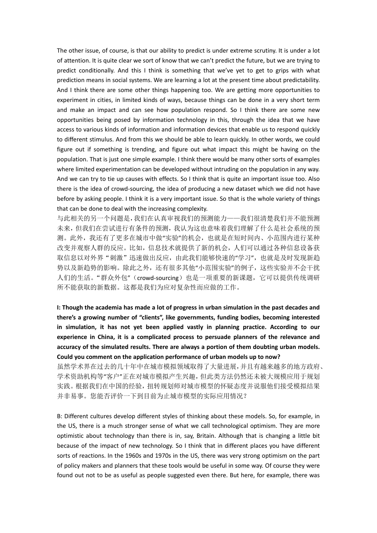The other issue, of course, is that our ability to predict is under extreme scrutiny. It is under a lot of attention. It is quite clear we sort of know that we can't predict the future, but we are trying to predict conditionally. And this I think is something that we've yet to get to grips with what prediction means in social systems. We are learning a lot at the present time about predictability. And I think there are some other things happening too. We are getting more opportunities to experiment in cities, in limited kinds of ways, because things can be done in a very short term and make an impact and can see how population respond. So I think there are some new opportunities being posed by information technology in this, through the idea that we have access to various kinds of information and information devices that enable us to respond quickly to different stimulus. And from this we should be able to learn quickly. In other words, we could figure out if something is trending, and figure out what impact this might be having on the population. That is just one simple example. I think there would be many other sorts of examples where limited experimentation can be developed without intruding on the population in any way. And we can try to tie up causes with effects. So I think that is quite an important issue too. Also there is the idea of crowd-sourcing, the idea of producing a new dataset which we did not have before by asking people. I think it is a very important issue. So that is the whole variety of things that can be done to deal with the increasing complexity.

与此相关的另一个问题是,我们在认真审视我们的预测能力——我们很清楚我们并不能预测 未来,但我们在尝试进行有条件的预测,我认为这也意味着我们理解了什么是社会系统的预 测。此外,我还有了更多在城市中做"实验"的机会,也就是在短时间内、小范围内进行某种 改变并观察人群的反应。比如,信息技术就提供了新的机会,人们可以通过各种信息设备获 取信息以对外界"刺激"迅速做出反应,由此我们能够快速的"学习",也就是及时发现新趋 势以及新趋势的影响。除此之外,还有很多其他"小范围实验"的例子,这些实验并不会干扰 人们的生活。"群众外包"(crowd-sourcing)也是一项重要的新课题,它可以提供传统调研 所不能获取的新数据。这都是我们为应对复杂性而应做的工作。

**I: Though the academia has made a lot of progress in urban simulation in the past decades and there's a growing number of "clients", like governments, funding bodies, becoming interested in simulation, it has not yet been applied vastly in planning practice. According to our experience in China, it is a complicated process to persuade planners of the relevance and accuracy of the simulated results. There are always a portion of them doubting urban models. Could you comment on the application performance of urban models up to now?** 

虽然学术界在过去的几十年中在城市模拟领域取得了大量进展,并且有越来越多的地方政府、 学术资助机构等"客户"正在对城市模拟产生兴趣,但此类方法仍然还未被大规模应用于规划 实践。根据我们在中国的经验,扭转规划师对城市模型的怀疑态度并说服他们接受模拟结果 并非易事。您能否评价一下到目前为止城市模型的实际应用情况?

B: Different cultures develop different styles of thinking about these models. So, for example, in the US, there is a much stronger sense of what we call technological optimism. They are more optimistic about technology than there is in, say, Britain. Although that is changing a little bit because of the impact of new technology. So I think that in different places you have different sorts of reactions. In the 1960s and 1970s in the US, there was very strong optimism on the part of policy makers and planners that these tools would be useful in some way. Of course they were found out not to be as useful as people suggested even there. But here, for example, there was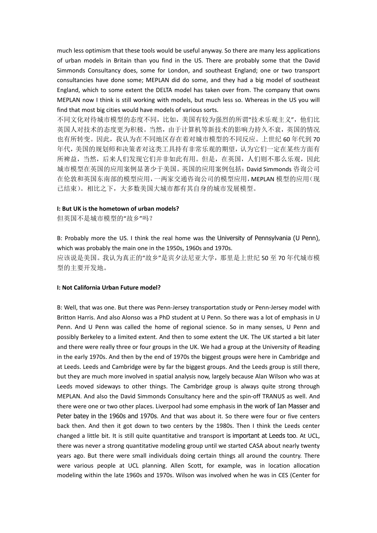much less optimism that these tools would be useful anyway. So there are many less applications of urban models in Britain than you find in the US. There are probably some that the David Simmonds Consultancy does, some for London, and southeast England; one or two transport consultancies have done some; MEPLAN did do some, and they had a big model of southeast England, which to some extent the DELTA model has taken over from. The company that owns MEPLAN now I think is still working with models, but much less so. Whereas in the US you will find that most big cities would have models of various sorts.

不同文化对待城市模型的态度不同,比如,美国有较为强烈的所谓"技术乐观主义",他们比 英国人对技术的态度更为积极。当然,由于计算机等新技术的影响力持久不衰,英国的情况 也有所转变。因此,我认为在不同地区存在着对城市模型的不同反应。上世纪 60 年代到 70 年代,美国的规划师和决策者对这类工具持有非常乐观的期望,认为它们一定在某些方面有 所裨益,当然,后来人们发现它们并非如此有用。但是,在英国,人们则不那么乐观,因此 城市模型在英国的应用案例显著少于美国。英国的应用案例包括:David Simmonds 咨询公司 在伦敦和英国东南部的模型应用,一两家交通咨询公司的模型应用,MEPLAN 模型的应用(现 已结束)。相比之下,大多数美国大城市都有其自身的城市发展模型。

## **I: But UK is the hometown of urban models?**

但英国不是城市模型的"故乡"吗?

B: Probably more the US. I think the real home was the University of Pennsylvania (U Penn), which was probably the main one in the 1950s, 1960s and 1970s.

应该说是美国。我认为真正的"故乡"是宾夕法尼亚大学,那里是上世纪 50 至 70 年代城市模 型的主要开发地。

### **I: Not California Urban Future model?**

B: Well, that was one. But there was Penn-Jersey transportation study or Penn-Jersey model with Britton Harris. And also Alonso was a PhD student at U Penn. So there was a lot of emphasis in U Penn. And U Penn was called the home of regional science. So in many senses, U Penn and possibly Berkeley to a limited extent. And then to some extent the UK. The UK started a bit later and there were really three or four groups in the UK. We had a group at the University of Reading in the early 1970s. And then by the end of 1970s the biggest groups were here in Cambridge and at Leeds. Leeds and Cambridge were by far the biggest groups. And the Leeds group is still there, but they are much more involved in spatial analysis now, largely because Alan Wilson who was at Leeds moved sideways to other things. The Cambridge group is always quite strong through MEPLAN. And also the David Simmonds Consultancy here and the spin-off TRANUS as well. And there were one or two other places. Liverpool had some emphasis in the work of Ian Masser and Peter batey in the 1960s and 1970s. And that was about it. So there were four or five centers back then. And then it got down to two centers by the 1980s. Then I think the Leeds center changed a little bit. It is still quite quantitative and transport is important at Leeds too. At UCL, there was never a strong quantitative modeling group until we started CASA about nearly twenty years ago. But there were small individuals doing certain things all around the country. There were various people at UCL planning. Allen Scott, for example, was in location allocation modeling within the late 1960s and 1970s. Wilson was involved when he was in CES (Center for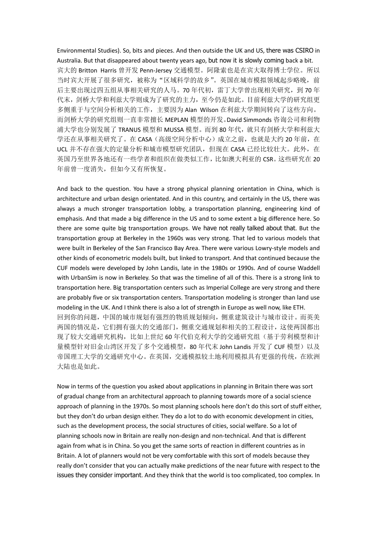Environmental Studies). So, bits and pieces. And then outside the UK and US, there was CSIRO in Australia. But that disappeared about twenty years ago, but now it is slowly coming back a bit. 宾大的 Britton Harris 曾开发 Penn-Jersey 交通模型。阿隆索也是在宾大取得博士学位。所以 当时宾大开展了很多研究,被称为"区域科学的故乡"。英国在城市模拟领域起步略晚,前 后主要出现过四五组从事相关研究的人马。70年代初,雷丁大学曾出现相关研究,到70年 代末,剑桥大学和利兹大学则成为了研究的主力,至今仍是如此。目前利兹大学的研究组更 多侧重于与空间分析相关的工作,主要因为 Alan Wilson 在利兹大学期间转向了这些方向。 而剑桥大学的研究组则一直非常擅长 MEPLAN 模型的开发。David Simmonds 咨询公司和利物 浦大学也分别发展了 TRANUS 模型和 MUSSA 模型。而到 80 年代, 就只有剑桥大学和利兹大 学还在从事相关研究了。在 CASA(高级空间分析中心)成立之前,也就是大约 20 年前, 在 UCL 并不存在强大的定量分析和城市模型研究团队,但现在 CASA 已经比较壮大。此外, 在 英国乃至世界各地还有一些学者和组织在做类似工作,比如澳大利亚的 CSR。这些研究在 20 年前曾一度消失,但如今又有所恢复。

And back to the question. You have a strong physical planning orientation in China, which is architecture and urban design orientated. And in this country, and certainly in the US, there was always a much stronger transportation lobby, a transportation planning, engineering kind of emphasis. And that made a big difference in the US and to some extent a big difference here. So there are some quite big transportation groups. We have not really talked about that. But the transportation group at Berkeley in the 1960s was very strong. That led to various models that were built in Berkeley of the San Francisco Bay Area. There were various Lowry-style models and other kinds of econometric models built, but linked to transport. And that continued because the CUF models were developed by John Landis, late in the 1980s or 1990s. And of course Waddell with UrbanSim is now in Berkeley. So that was the timeline of all of this. There is a strong link to transportation here. Big transportation centers such as Imperial College are very strong and there are probably five or six transportation centers. Transportation modeling is stronger than land use modeling in the UK. And I think there is also a lot of strength in Europe as well now, like ETH. 回到你的问题,中国的城市规划有强烈的物质规划倾向,侧重建筑设计与城市设计。而英美 两国的情况是,它们拥有强大的交通部门,侧重交通规划和相关的工程设计,这使两国都出 现了较大交通研究机构,比如上世纪 60 年代伯克利大学的交通研究组(基于劳利模型和计 量模型针对旧金山湾区开发了多个交通模型, 80 年代末 John Landis 开发了 CUF 模型)以及 帝国理工大学的交通研究中心。在英国,交通模拟较土地利用模拟具有更强的传统,在欧洲

大陆也是如此。

Now in terms of the question you asked about applications in planning in Britain there was sort of gradual change from an architectural approach to planning towards more of a social science approach of planning in the 1970s. So most planning schools here don't do this sort of stuff either, but they don't do urban design either. They do a lot to do with economic development in cities, such as the development process, the social structures of cities, social welfare. So a lot of planning schools now in Britain are really non-design and non-technical. And that is different again from what is in China. So you get the same sorts of reaction in different countries as in Britain. A lot of planners would not be very comfortable with this sort of models because they really don't consider that you can actually make predictions of the near future with respect to the issues they consider important. And they think that the world is too complicated, too complex. In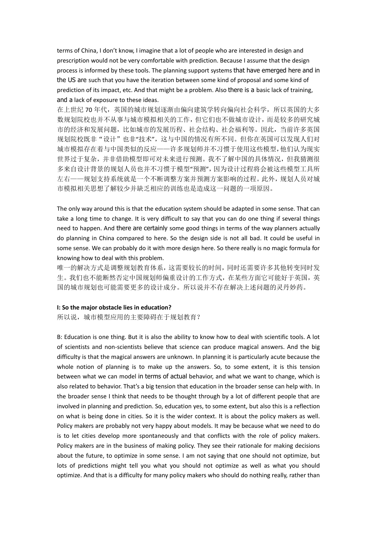terms of China, I don't know, I imagine that a lot of people who are interested in design and prescription would not be very comfortable with prediction. Because I assume that the design process is informed by these tools. The planning support systems that have emerged here and in the US are such that you have the iteration between some kind of proposal and some kind of prediction of its impact, etc. And that might be a problem. Also there is a basic lack of training, and a lack of exposure to these ideas.

在上世纪 70 年代,英国的城市规划逐渐由偏向建筑学转向偏向社会科学,所以英国的大多 数规划院校也并不从事与城市模拟相关的工作,但它们也不做城市设计,而是较多的研究城 市的经济和发展问题,比如城市的发展历程、社会结构、社会福利等。因此,当前许多英国 规划院校既非"设计"也非"技术",这与中国的情况有所不同。但你在英国可以发现人们对 城市模拟存在着与中国类似的反应——许多规划师并不习惯于使用这些模型,他们认为现实 世界过于复杂,并非借助模型即可对未来进行预测。我不了解中国的具体情况,但我猜测很 多来自设计背景的规划人员也并不习惯于模型"预测",因为设计过程将会被这些模型工具所 左右——规划支持系统就是一个不断调整方案并预测方案影响的过程。此外,规划人员对城 市模拟相关思想了解较少并缺乏相应的训练也是造成这一问题的一项原因。

The only way around this is that the education system should be adapted in some sense. That can take a long time to change. It is very difficult to say that you can do one thing if several things need to happen. And there are certainly some good things in terms of the way planners actually do planning in China compared to here. So the design side is not all bad. It could be useful in some sense. We can probably do it with more design here. So there really is no magic formula for knowing how to deal with this problem.

唯一的解决方式是调整规划教育体系,这需要较长的时间,同时还需要许多其他转变同时发 生。我们也不能断然否定中国规划师偏重设计的工作方式,在某些方面它可能好于英国,英 国的城市规划也可能需要更多的设计成分。所以说并不存在解决上述问题的灵丹妙药。

#### **I: So the major obstacle lies in education?**

所以说,城市模型应用的主要障碍在于规划教育?

B: Education is one thing. But it is also the ability to know how to deal with scientific tools. A lot of scientists and non-scientists believe that science can produce magical answers. And the big difficulty is that the magical answers are unknown. In planning it is particularly acute because the whole notion of planning is to make up the answers. So, to some extent, it is this tension between what we can model in terms of actual behavior, and what we want to change, which is also related to behavior. That's a big tension that education in the broader sense can help with. In the broader sense I think that needs to be thought through by a lot of different people that are involved in planning and prediction. So, education yes, to some extent, but also this is a reflection on what is being done in cities. So it is the wider context. It is about the policy makers as well. Policy makers are probably not very happy about models. It may be because what we need to do is to let cities develop more spontaneously and that conflicts with the role of policy makers. Policy makers are in the business of making policy. They see their rationale for making decisions about the future, to optimize in some sense. I am not saying that one should not optimize, but lots of predictions might tell you what you should not optimize as well as what you should optimize. And that is a difficulty for many policy makers who should do nothing really, rather than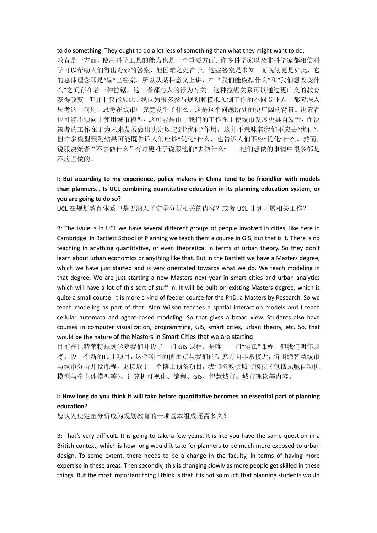to do something. They ought to do a lot less of something than what they might want to do. 教育是一方面,使用科学工具的能力也是一个重要方面。许多科学家以及非科学家都相信科 学可以帮助人们得出奇妙的答案,但困难之处在于,这些答案是未知。而规划更是如此,它 的总体理念即是"编"出答案。所以从某种意义上讲,在"我们能模拟什么"和"我们想改变什 么"之间存在着一种拉锯,这二者都与人的行为有关。这种拉锯关系可以通过更广义的教育 获得改变,但并非仅能如此。我认为很多参与规划和模拟预测工作的不同专业人士都应深入 思考这一问题,思考在城市中究竟发生了什么,这是这个问题所处的更广阔的背景。决策者 也可能不倾向于使用城市模型,这可能是由于我们的工作在于使城市发展更具自发性,而决 策者的工作在于为未来发展做出决定以起到"优化"作用。这并不意味着我们不应去"优化", 但许多模型预测结果可能既告诉人们应该"优化"什么,也告诉人们不应"优化"什么。然而, 说服决策者"不去做什么"有时更难于说服他们"去做什么"——他们想做的事情中很多都是 不应当做的。

# **I: But according to my experience, policy makers in China tend to be friendlier with models than planners… Is UCL combining quantitative education in its planning education system, or you are going to do so?**

UCL 在规划教育体系中是否纳入了定量分析相关的内容?或者 UCL 计划开展相关工作?

B: The issue is in UCL we have several different groups of people involved in cities, like here in Cambridge. In Bartlett School of Planning we teach them a course in GIS, but that is it. There is no teaching in anything quantitative, or even theoretical in terms of urban theory. So they don't learn about urban economics or anything like that. But in the Bartlett we have a Masters degree, which we have just started and is very orientated towards what we do. We teach modeling in that degree. We are just starting a new Masters next year in smart cities and urban analytics which will have a lot of this sort of stuff in. It will be built on existing Masters degree, which is quite a small course. It is more a kind of feeder course for the PhD, a Masters by Research. So we teach modeling as part of that. Alan Wilson teaches a spatial interaction models and I teach cellular automata and agent-based modeling. So that gives a broad view. Students also have courses in computer visualization, programming, GIS, smart cities, urban theory, etc. So, that would be the nature of the Masters in Smart Cities that we are starting

目前在巴特莱特规划学院我们开设了一门 GIS 课程,是唯一一门"定量"课程。但我们明年即 将开设一个新的硕士项目,这个项目的侧重点与我们的研究方向非常接近,将围绕智慧城市 与城市分析开设课程,更接近于一个博士预备项目。我们将教授城市模拟(包括元胞自动机 模型与多主体模型等)、计算机可视化、编程、GIS、智慧城市、城市理论等内容。

# **I: How long do you think it will take before quantitative becomes an essential part of planning education?**

您认为使定量分析成为规划教育的一项基本组成还需多久?

B: That's very difficult. It is going to take a few years. It is like you have the same question in a British context, which is how long would it take for planners to be much more exposed to urban design. To some extent, there needs to be a change in the faculty, in terms of having more expertise in these areas. Then secondly, this is changing slowly as more people get skilled in these things. But the most important thing I think is that it is not so much that planning students would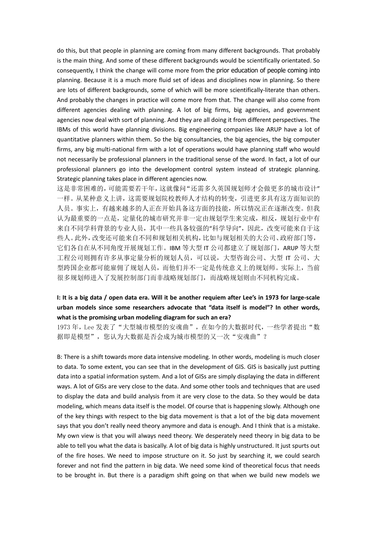do this, but that people in planning are coming from many different backgrounds. That probably is the main thing. And some of these different backgrounds would be scientifically orientated. So consequently, I think the change will come more from the prior education of people coming into planning. Because it is a much more fluid set of ideas and disciplines now in planning. So there are lots of different backgrounds, some of which will be more scientifically-literate than others. And probably the changes in practice will come more from that. The change will also come from different agencies dealing with planning. A lot of big firms, big agencies, and government agencies now deal with sort of planning. And they are all doing it from different perspectives. The IBMs of this world have planning divisions. Big engineering companies like ARUP have a lot of quantitative planners within them. So the big consultancies, the big agencies, the big computer firms, any big multi-national firm with a lot of operations would have planning staff who would not necessarily be professional planners in the traditional sense of the word. In fact, a lot of our professional planners go into the development control system instead of strategic planning. Strategic planning takes place in different agencies now.

这是非常困难的,可能需要若干年,这就像问"还需多久英国规划师才会做更多的城市设计" 一样。从某种意义上讲,这需要规划院校教师人才结构的转变,引进更多具有这方面知识的 人员。事实上,有越来越多的人正在开始具备这方面的技能,所以情况正在逐渐改变。但我 认为最重要的一点是,定量化的城市研究并非一定由规划学生来完成,相反,规划行业中有 来自不同学科背景的专业人员,其中一些具备较强的"科学导向",因此,改变可能来自于这 些人。此外,改变还可能来自不同和规划相关机构,比如与规划相关的大公司、政府部门等, 它们各自在从不同角度开展规划工作。IBM 等大型 IT 公司都建立了规划部门,ARUP 等大型 工程公司则拥有许多从事定量分析的规划人员,可以说,大型咨询公司、大型 IT 公司、大 型跨国企业都可能雇佣了规划人员,而他们并不一定是传统意义上的规划师。实际上,当前 很多规划师进入了发展控制部门而非战略规划部门,而战略规划则由不同机构完成。

# **I: It is a big data / open data era. Will it be another requiem after Lee's in 1973 for large-scale urban models since some researchers advocate that "data itself is model"? In other words, what is the promising urban modeling diagram for such an era?**

1973年, Lee 发表了"大型城市模型的安魂曲", 在如今的大数据时代, 一些学者提出"数 据即是模型",您认为大数据是否会成为城市模型的又一次"安魂曲"?

B: There is a shift towards more data intensive modeling. In other words, modeling is much closer to data. To some extent, you can see that in the development of GIS. GIS is basically just putting data into a spatial information system. And a lot of GISs are simply displaying the data in different ways. A lot of GISs are very close to the data. And some other tools and techniques that are used to display the data and build analysis from it are very close to the data. So they would be data modeling, which means data itself is the model. Of course that is happening slowly. Although one of the key things with respect to the big data movement is that a lot of the big data movement says that you don't really need theory anymore and data is enough. And I think that is a mistake. My own view is that you will always need theory. We desperately need theory in big data to be able to tell you what the data is basically. A lot of big data is highly unstructured. It just spurts out of the fire hoses. We need to impose structure on it. So just by searching it, we could search forever and not find the pattern in big data. We need some kind of theoretical focus that needs to be brought in. But there is a paradigm shift going on that when we build new models we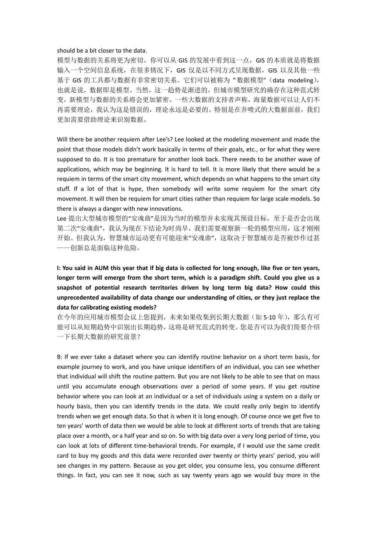### should be a bit closer to the data.

模型与数据的关系将更为密切。你可以从 GIS 的发展中看到这一点,GIS 的本质就是将数据 输入一个空间信息系统,在很多情况下,GIS 仅是以不同方式呈现数据,GIS 以及其他一些 基于 GIS 的工具都与数据有非常密切关系。它们可以被称为"数据模型"(data modeling), 也就是说,数据即是模型。当然,这一趋势是渐进的,但城市模型研究的确存在这种范式转 变,新模型与数据的关系将会更加紧密。一些大数据的支持者声称,海量数据可以让人们不 再需要理论,我认为这是错误的,理论永远是必要的。特别是在井喷式的大数据面前,我们 更加需要借助理论来识别数据。

Will there be another requiem after Lee's? Lee looked at the modeling movement and made the point that those models didn't work basically in terms of their goals, etc., or for what they were supposed to do. It is too premature for another look back. There needs to be another wave of applications, which may be beginning. It is hard to tell. It is more likely that there would be a requiem in terms of the smart city movement, which depends on what happens to the smart city stuff. If a lot of that is hype, then somebody will write some requiem for the smart city movement. It will then be requiem for smart cities rather than requiem for large scale models. So there is always a danger with new innovations.

Lee 提出大型城市模型的"安魂曲"是因为当时的模型并未实现其预设目标,至于是否会出现 第二次"安魂曲",我认为现在下结论为时尚早。我们需要观察新一轮的模型应用,这才刚刚 开始。但我认为,智慧城市运动更有可能迎来"安魂曲",这取决于智慧城市是否被炒作过甚 ——创新总是面临这种危险。

# **I: You said in AUM this year that if big data is collected for long enough, like five or ten years, longer term will emerge from the short term, which is a paradigm shift. Could you give us a snapshot of potential research territories driven by long term big data? How could this unprecedented availability of data change our understanding of cities, or they just replace the data for calibrating existing models?**

在今年的应用城市模型会议上您提到,未来如果收集到长期大数据(如 5-10 年), 那么有可 能可以从短期趋势中识别出长期趋势,这将是研究范式的转变。您是否可以为我们简要介绍 一下长期大数据的研究前景?

B: If we ever take a dataset where you can identify routine behavior on a short term basis, for example journey to work, and you have unique identifiers of an individual, you can see whether that individual will shift the routine pattern. But you are not likely to be able to see that on mass until you accumulate enough observations over a period of some years. If you get routine behavior where you can look at an individual or a set of individuals using a system on a daily or hourly basis, then you can identify trends in the data. We could really only begin to identify trends when we get enough data. So that is when it is long enough. Of course once we get five to ten years' worth of data then we would be able to look at different sorts of trends that are taking place over a month, or a half year and so on. So with big data over a very long period of time, you can look at lots of different time-behavioral trends. For example, if I would use the same credit card to buy my goods and this data were recorded over twenty or thirty years' period, you will see changes in my pattern. Because as you get older, you consume less, you consume different things. In fact, you can see it now, such as say twenty years ago we would buy more in the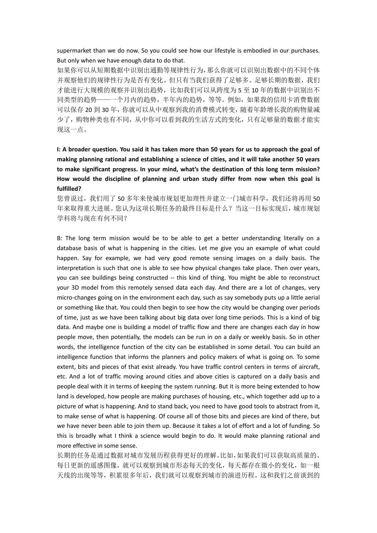supermarket than we do now. So you could see how our lifestyle is embodied in our purchases. But only when we have enough data to do that.

如果你可以从短期数据中识别出通勤等规律性行为,那么你就可以识别出数据中的不同个体 并观察他们的规律性行为是否有变化。但只有当我们获得了足够多、足够长期的数据,我们 才能进行大规模的观察并识别出趋势,比如我们可以从跨度为 5 至 10 年的数据中识别出不 同类型的趋势——一个月内的趋势,半年内的趋势,等等。例如,如果我的信用卡消费数据 可以保存 20 到 30 年,你就可以从中观察到我的消费模式转变,随着年龄增长我的购物量减 少了,购物种类也有不同,从中你可以看到我的生活方式的变化,只有足够量的数据才能实 现这一点。

**I: A broader question. You said it has taken more than 50 years for us to approach the goal of making planning rational and establishing a science of cities, and it will take another 50 years to make significant progress. In your mind, what's the destination of this long term mission? How would the discipline of planning and urban study differ from now when this goal is fulfilled?**

您曾说过,我们用了 50 多年来使城市规划更加理性并建立一门城市科学,我们还将再用 50 年来取得重大进展。您认为这项长期任务的最终目标是什么?当这一目标实现后,城市规划 学科将与现在有何不同?

B: The long term mission would be to be able to get a better understanding literally on a database basis of what is happening in the cities. Let me give you an example of what could happen. Say for example, we had very good remote sensing images on a daily basis. The interpretation is such that one is able to see how physical changes take place. Then over years, you can see buildings being constructed -- this kind of thing. You might be able to reconstruct your 3D model from this remotely sensed data each day. And there are a lot of changes, very micro-changes going on in the environment each day, such as say somebody puts up a little aerial or something like that. You could then begin to see how the city would be changing over periods of time, just as we have been talking about big data over long time periods. This is a kind of big data. And maybe one is building a model of traffic flow and there are changes each day in how people move, then potentially, the models can be run in on a daily or weekly basis. So in other words, the intelligence function of the city can be established in some detail. You can build an intelligence function that informs the planners and policy makers of what is going on. To some extent, bits and pieces of that exist already. You have traffic control centers in terms of aircraft, etc. And a lot of traffic moving around cities and above cities is captured on a daily basis and people deal with it in terms of keeping the system running. But it is more being extended to how land is developed, how people are making purchases of housing, etc., which together add up to a picture of what is happening. And to stand back, you need to have good tools to abstract from it, to make sense of what is happening. Of course all of those bits and pieces are kind of there, but we have never been able to join them up. Because it takes a lot of effort and a lot of funding. So this is broadly what I think a science would begin to do. It would make planning rational and more effective in some sense.

长期的任务是通过数据对城市发展历程获得更好的理解。比如,如果我们可以获取高质量的、 每日更新的遥感图像,就可以观察到城市形态每天的变化,每天都存在微小的变化,如一根 天线的出现等等,积累很多年后,我们就可以观察到城市的演进历程。这和我们之前谈到的